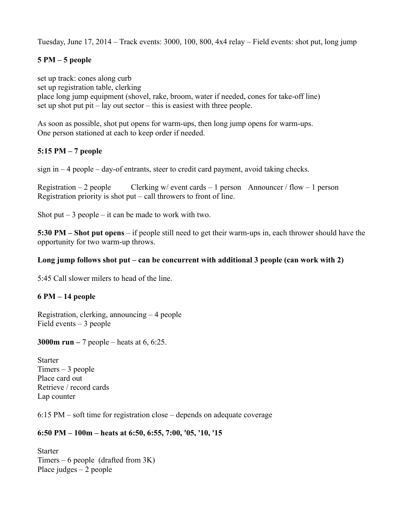Tuesday, June 17, 2014 – Track events: 3000, 100, 800, 4x4 relay – Field events: shot put, long jump

# **5 PM – 5 people**

set up track: cones along curb set up registration table, clerking place long jump equipment (shovel, rake, broom, water if needed, cones for take-off line) set up shot put pit – lay out sector – this is easiest with three people.

As soon as possible, shot put opens for warm-ups, then long jump opens for warm-ups. One person stationed at each to keep order if needed.

# **5:15 PM – 7 people**

 $sign in - 4 people - day-of entrants, steer to credit card payment, avoid taking checks.$ 

Registration – 2 people Clerking w/ event cards – 1 person Announcer / flow – 1 person Registration priority is shot put – call throwers to front of line.

Shot put  $-3$  people  $-$  it can be made to work with two.

**5:30 PM – Shot put opens** – if people still need to get their warm-ups in, each thrower should have the opportunity for two warm-up throws.

#### **Long jump follows shot put – can be concurrent with additional 3 people (can work with 2)**

5:45 Call slower milers to head of the line.

## **6 PM – 14 people**

Registration, clerking, announcing – 4 people Field events – 3 people

**3000m run –** 7 people – heats at 6, 6:25.

**Starter** Timers – 3 people Place card out Retrieve / record cards Lap counter

6:15 PM – soft time for registration close – depends on adequate coverage

## **6:50 PM – 100m – heats at 6:50, 6:55, 7:00, '05, '10, '15**

**Starter** Timers – 6 people (drafted from  $3K$ ) Place judges – 2 people